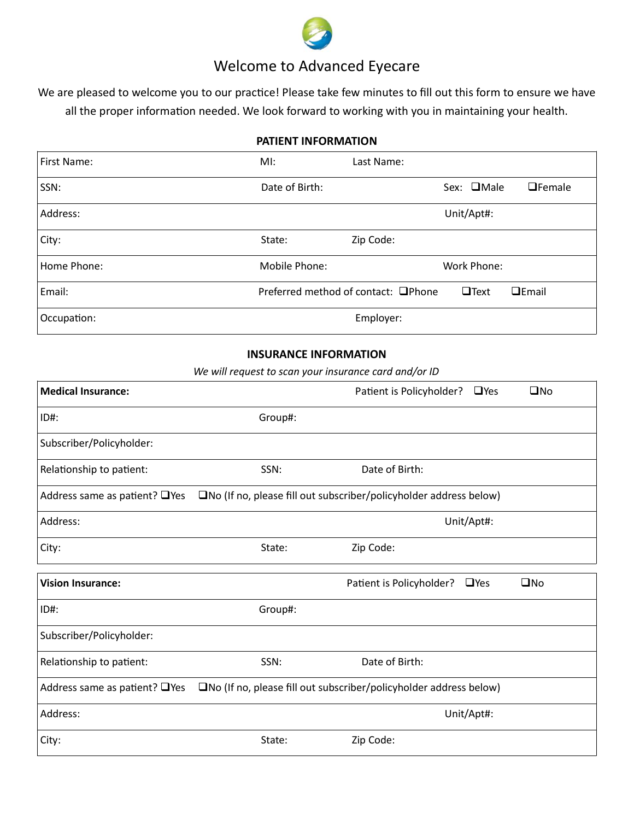

# Welcome to Advanced Eyecare

We are pleased to welcome you to our practice! Please take few minutes to fill out this form to ensure we have all the proper information needed. We look forward to working with you in maintaining your health.

## PATIENT INFORMATION

| First Name: | MI:            | Last Name:                          |                   |                      |
|-------------|----------------|-------------------------------------|-------------------|----------------------|
| SSN:        | Date of Birth: |                                     | Sex: <b>OMale</b> | $\Box$ Female        |
| Address:    |                |                                     | Unit/Apt#:        |                      |
| City:       | State:         | Zip Code:                           |                   |                      |
| Home Phone: | Mobile Phone:  |                                     | Work Phone:       |                      |
| Email:      |                | Preferred method of contact: □Phone | $\Box$ Text       | $E$ <sub>Email</sub> |
| Occupation: |                | Employer:                           |                   |                      |

### INSURANCE INFORMATION

We will request to scan your insurance card and/or ID

| <b>Medical Insurance:</b>           |         | Patient is Policyholder? □ Yes                                              | $\square$ No |
|-------------------------------------|---------|-----------------------------------------------------------------------------|--------------|
| ID#:                                | Group#: |                                                                             |              |
| Subscriber/Policyholder:            |         |                                                                             |              |
| Relationship to patient:            | SSN:    | Date of Birth:                                                              |              |
| Address same as patient? $\Box$ Yes |         | $\square$ No (If no, please fill out subscriber/policyholder address below) |              |
| Address:                            |         | Unit/Apt#:                                                                  |              |
| City:                               | State:  | Zip Code:                                                                   |              |
| <b>Vision Insurance:</b>            |         | Patient is Policyholder?<br>$\square$ Yes                                   | $\square$ No |
| ID#:                                | Group#: |                                                                             |              |
| Subscriber/Policyholder:            |         |                                                                             |              |
| Relationship to patient:            | SSN:    | Date of Birth:                                                              |              |
| Address same as patient? □ Yes      |         | $\square$ No (If no, please fill out subscriber/policyholder address below) |              |
| Address:                            |         | Unit/Apt#:                                                                  |              |
| City:                               | State:  | Zip Code:                                                                   |              |